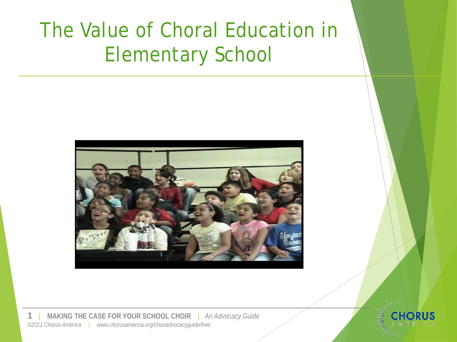## The Value of Choral Education in Elementary School



**1** | **MAKING THE CASE FOR YOUR SCHOOL CHOIR** | *An Advocacy Guide ©2011 Chorus America | www.chorusamerica.org/choiradvocacyguide/free*

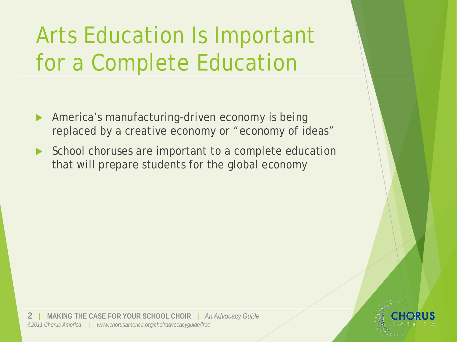# Arts Education Is Important for a Complete Education

- America's manufacturing-driven economy is being replaced by a creative economy or "economy of ideas"
- School choruses are important to a complete education that will prepare students for the global economy

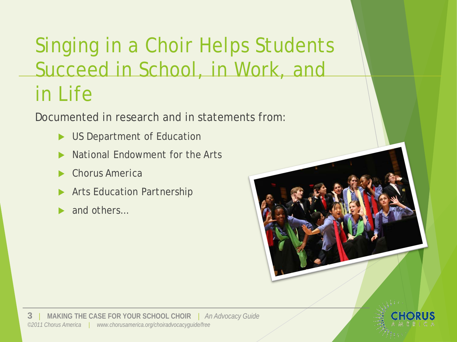## Singing in a Choir Helps Students Succeed in School, in Work, and in Life

Documented in research and in statements from:

- US Department of Education
- National Endowment for the Arts
- Chorus America
- Arts Education Partnership
- and others…

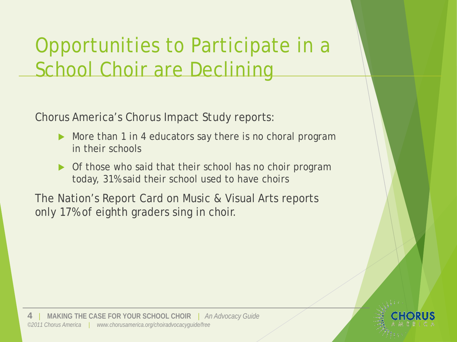### Opportunities to Participate in a School Choir are Declining

Chorus America's *Chorus Impact Study* reports:

- More than 1 in 4 educators say there is no choral program in their schools
- ▶ Of those who said that their school has no choir program today, 31% said their school used to have choirs

The Nation's Report Card on Music & Visual Arts reports only 17% of eighth graders sing in choir.

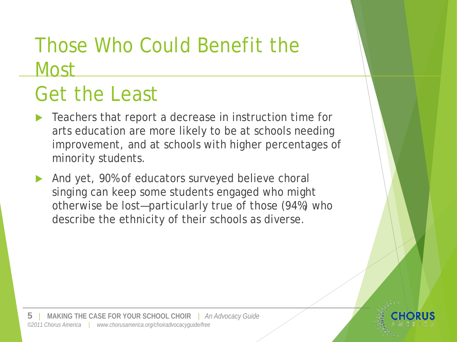### Those Who Could Benefit the Most

## Get the Least

- Teachers that report a decrease in instruction time for arts education are more likely to be at schools needing improvement, and at schools with higher percentages of minority students.
- And yet, 90% of educators surveyed believe choral singing can keep some students engaged who might otherwise be lost—particularly true of those (94%) who describe the ethnicity of their schools as diverse.

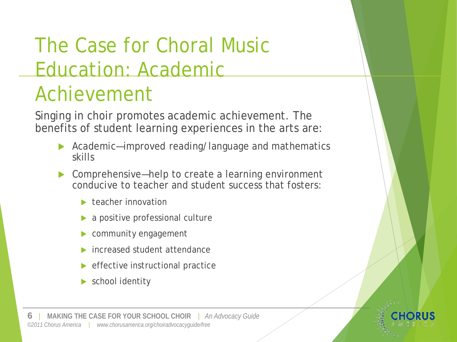# The Case for Choral Music Education: Academic

# Achievement

Singing in choir promotes academic achievement. The benefits of student learning experiences in the arts are:

- ▶ Academic—improved reading/language and mathematics skills
- ▶ Comprehensive—help to create a learning environment conducive to teacher and student success that fosters:
	- **teacher innovation**
	- a positive professional culture
	- community engagement
	- increased student attendance
	- $\blacktriangleright$  effective instructional practice
	- school identity

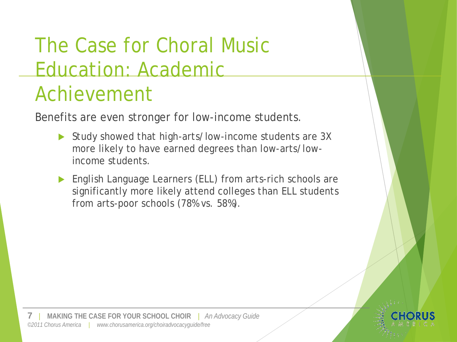# The Case for Choral Music Education: Academic

### Achievement

Benefits are even stronger for low-income students.

- Study showed that high-arts/low-income students are 3X more likely to have earned degrees than low-arts/lowincome students.
- English Language Learners (ELL) from arts-rich schools are significantly more likely attend colleges than ELL students from arts-poor schools (78% vs. 58%).

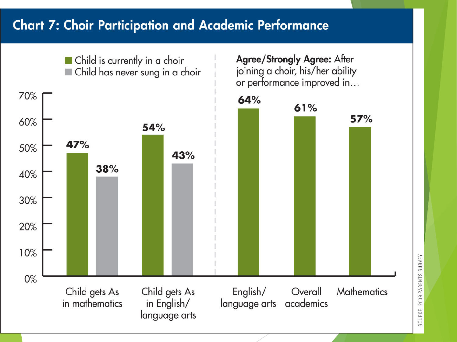### **Chart 7: Choir Participation and Academic Performance**



SOURCE: 2009 PARENTS SURVEY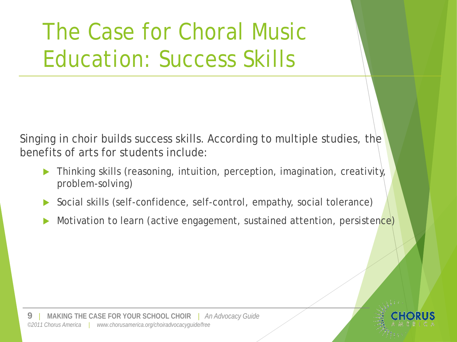The Case for Choral Music Education: Success Skills

Singing in choir builds success skills. According to multiple studies, the benefits of arts for students include:

- Thinking skills (reasoning, intuition, perception, imagination, creativity, problem-solving)
- Social skills (self-confidence, self-control, empathy, social tolerance)
- Motivation to learn (active engagement, sustained attention, persistence)

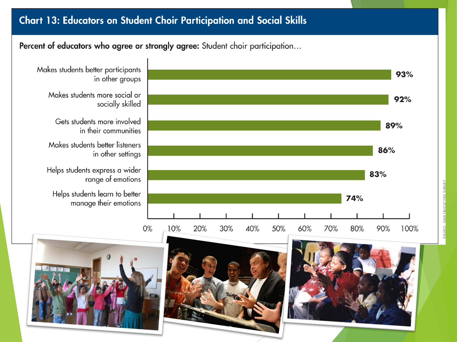#### **Chart 13: Educators on Student Choir Participation and Social Skills**

Percent of educators who agree or strongly agree: Student choir participation...

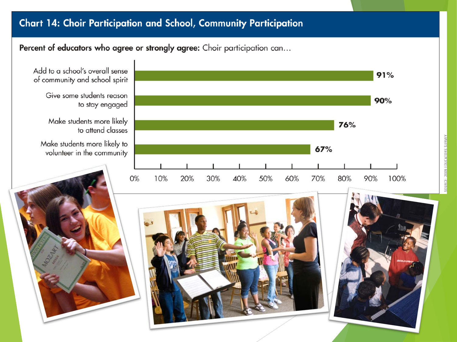#### Chart 14: Choir Participation and School, Community Participation

#### Percent of educators who agree or strongly agree: Choir participation can...

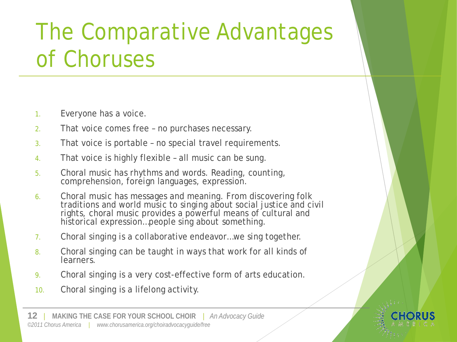# The Comparative Advantages of Choruses

- 1. Everyone has a voice.
- 2. That voice comes free no purchases necessary.
- 3. That voice is portable no special travel requirements.
- 4. That voice is highly flexible all music can be sung.
- 5. Choral music has rhythms *and* words. Reading, counting, comprehension, foreign languages, expression.
- 6. Choral music has messages and meaning. From discovering folk traditions and world music to singing about social justice and civil rights, choral music provides a powerful means of cultural and historical expression…people sing *about* something.
- 7. Choral singing is a collaborative endeavor…we sing together.
- 8. Choral singing can be taught in ways that work for all kinds of learners.
- 9. Choral singing is a very cost-effective form of arts education.
- 10. Choral singing is a lifelong activity.